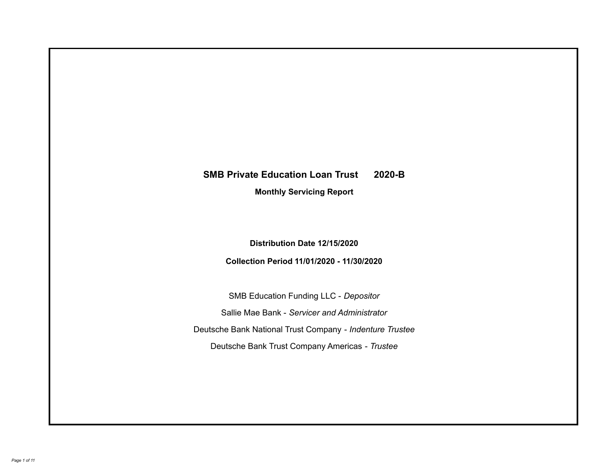# **SMB Private Education Loan Trust 2020-B Monthly Servicing Report**

**Distribution Date 12/15/2020**

**Collection Period 11/01/2020 - 11/30/2020**

SMB Education Funding LLC - *Depositor* Sallie Mae Bank - *Servicer and Administrator* Deutsche Bank National Trust Company - *Indenture Trustee* Deutsche Bank Trust Company Americas - *Trustee*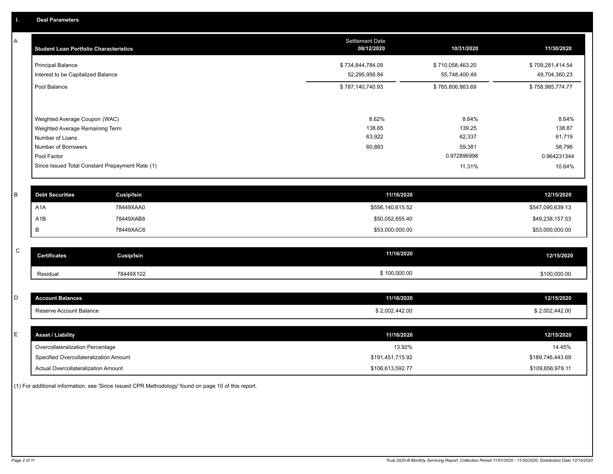A

| <b>Student Loan Portfolio Characteristics</b>   | <b>Settlement Date</b><br>08/12/2020 | 10/31/2020       | 11/30/2020       |
|-------------------------------------------------|--------------------------------------|------------------|------------------|
| <b>Principal Balance</b>                        | \$734,844,784.09                     | \$710,058,463.20 | \$709,281,414.54 |
| Interest to be Capitalized Balance              | 52,295,956.84                        | 55,748,400.49    | 49,704,360.23    |
| Pool Balance                                    | \$787,140,740.93                     | \$765,806,863.69 | \$758,985,774.77 |
| Weighted Average Coupon (WAC)                   | 8.62%                                | 8.64%            | 8.64%            |
| Weighted Average Remaining Term                 | 138.65                               | 139.25           | 138.87           |
| Number of Loans                                 | 63,922                               | 62,337           | 61,719           |
| Number of Borrowers                             | 60,883                               | 59,381           | 58,796           |
| Pool Factor                                     |                                      | 0.972896998      | 0.964231344      |
| Since Issued Total Constant Prepayment Rate (1) |                                      | 11.31%           | 10.64%           |

| <b>Debt Securities</b> | Cusip/Isin | 11/16/2020       | 12/15/2020       |
|------------------------|------------|------------------|------------------|
| A <sub>1</sub> A       | 78449XAA0  | \$556,140,615.52 | \$547,090,639.13 |
| A1B                    | 78449XAB8  | \$50,052,655.40  | \$49,238,157.53  |
|                        | 78449XAC6  | \$53,000,000.00  | \$53,000,000.00  |

| $\sim$<br>U | <b>Certificates</b> | Cusip/Isin | 11/16/2020   | 12/15/2020   |
|-------------|---------------------|------------|--------------|--------------|
|             | Residual            | 78449X102  | \$100,000.00 | \$100,000.00 |

| -<br>◡ | <b>Account Balances</b> | 11/16/2020     | 12/15/2020    |
|--------|-------------------------|----------------|---------------|
|        | Reserve Account Balance | \$2,002,442.00 | 2,002,442.00  |
|        | <b>Tese</b>             |                | $\sim$ $\sim$ |
|        |                         |                |               |

| ь. | <b>Asset / Liability</b>               | 11/16/2020       | 12/15/2020       |
|----|----------------------------------------|------------------|------------------|
|    | Overcollateralization Percentage       | 13.92%           | 14.45%           |
|    | Specified Overcollateralization Amount | \$191,451,715.92 | \$189,746,443.69 |
|    | Actual Overcollateralization Amount    | \$106,613,592.77 | \$109,656,978.11 |

(1) For additional information, see 'Since Issued CPR Methodology' found on page 10 of this report.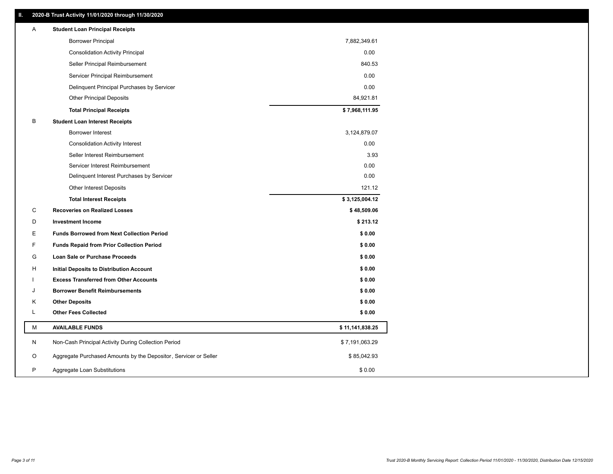# **II. 2020-B Trust Activity 11/01/2020 through 11/30/2020**

| A<br><b>Student Loan Principal Receipts</b>                           |                 |  |
|-----------------------------------------------------------------------|-----------------|--|
| <b>Borrower Principal</b>                                             | 7,882,349.61    |  |
| <b>Consolidation Activity Principal</b>                               | 0.00            |  |
| Seller Principal Reimbursement                                        | 840.53          |  |
| Servicer Principal Reimbursement                                      | 0.00            |  |
| Delinquent Principal Purchases by Servicer                            | 0.00            |  |
| <b>Other Principal Deposits</b>                                       | 84,921.81       |  |
| <b>Total Principal Receipts</b>                                       | \$7,968,111.95  |  |
| В<br><b>Student Loan Interest Receipts</b>                            |                 |  |
| <b>Borrower Interest</b>                                              | 3,124,879.07    |  |
| <b>Consolidation Activity Interest</b>                                | 0.00            |  |
| Seller Interest Reimbursement                                         | 3.93            |  |
| Servicer Interest Reimbursement                                       | 0.00            |  |
| Delinquent Interest Purchases by Servicer                             | 0.00            |  |
| Other Interest Deposits                                               | 121.12          |  |
| <b>Total Interest Receipts</b>                                        | \$3,125,004.12  |  |
| C<br><b>Recoveries on Realized Losses</b>                             | \$48,509.06     |  |
| D<br><b>Investment Income</b>                                         | \$213.12        |  |
| Е<br><b>Funds Borrowed from Next Collection Period</b>                | \$0.00          |  |
| F<br><b>Funds Repaid from Prior Collection Period</b>                 | \$0.00          |  |
| G<br>Loan Sale or Purchase Proceeds                                   | \$0.00          |  |
| H<br>Initial Deposits to Distribution Account                         | \$0.00          |  |
| <b>Excess Transferred from Other Accounts</b>                         | \$0.00          |  |
| <b>Borrower Benefit Reimbursements</b><br>J                           | \$0.00          |  |
| Κ<br><b>Other Deposits</b>                                            | \$0.00          |  |
| <b>Other Fees Collected</b><br>L                                      | \$0.00          |  |
| М<br><b>AVAILABLE FUNDS</b>                                           | \$11,141,838.25 |  |
| N<br>Non-Cash Principal Activity During Collection Period             | \$7,191,063.29  |  |
| Aggregate Purchased Amounts by the Depositor, Servicer or Seller<br>O | \$85,042.93     |  |
| P<br>Aggregate Loan Substitutions                                     | \$0.00          |  |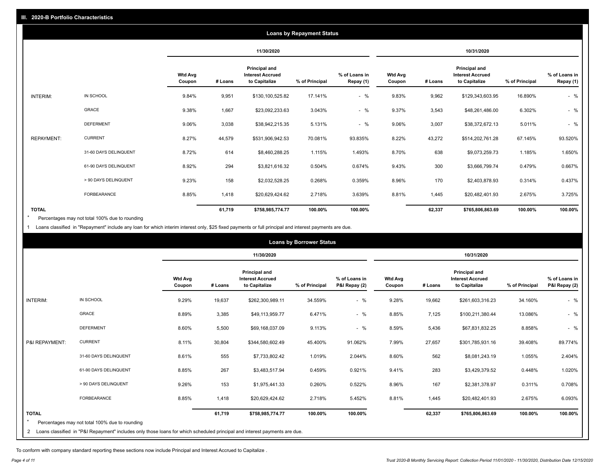|                   |                       |                          |         |                                                           | <b>Loans by Repayment Status</b> |                            |                          |         |                                                           |                |                            |
|-------------------|-----------------------|--------------------------|---------|-----------------------------------------------------------|----------------------------------|----------------------------|--------------------------|---------|-----------------------------------------------------------|----------------|----------------------------|
|                   |                       |                          |         | 11/30/2020                                                |                                  |                            |                          |         | 10/31/2020                                                |                |                            |
|                   |                       | <b>Wtd Avg</b><br>Coupon | # Loans | Principal and<br><b>Interest Accrued</b><br>to Capitalize | % of Principal                   | % of Loans in<br>Repay (1) | <b>Wtd Avg</b><br>Coupon | # Loans | Principal and<br><b>Interest Accrued</b><br>to Capitalize | % of Principal | % of Loans in<br>Repay (1) |
| INTERIM:          | IN SCHOOL             | 9.84%                    | 9,951   | \$130,100,525.82                                          | 17.141%                          | $-$ %                      | 9.83%                    | 9,962   | \$129,343,603.95                                          | 16.890%        | $-$ %                      |
|                   | <b>GRACE</b>          | 9.38%                    | 1,667   | \$23,092,233.63                                           | 3.043%                           | $-$ %                      | 9.37%                    | 3,543   | \$48,261,486.00                                           | 6.302%         | $-$ %                      |
|                   | <b>DEFERMENT</b>      | 9.06%                    | 3,038   | \$38,942,215.35                                           | 5.131%                           | $-$ %                      | 9.06%                    | 3,007   | \$38,372,672.13                                           | 5.011%         | $-$ %                      |
| <b>REPAYMENT:</b> | <b>CURRENT</b>        | 8.27%                    | 44,579  | \$531,906,942.53                                          | 70.081%                          | 93.835%                    | 8.22%                    | 43,272  | \$514,202,761.28                                          | 67.145%        | 93.520%                    |
|                   | 31-60 DAYS DELINQUENT | 8.72%                    | 614     | \$8,460,288.25                                            | 1.115%                           | 1.493%                     | 8.70%                    | 638     | \$9,073,259.73                                            | 1.185%         | 1.650%                     |
|                   | 61-90 DAYS DELINQUENT | 8.92%                    | 294     | \$3,821,616.32                                            | 0.504%                           | 0.674%                     | 9.43%                    | 300     | \$3,666,799.74                                            | 0.479%         | 0.667%                     |
|                   | > 90 DAYS DELINQUENT  | 9.23%                    | 158     | \$2,032,528.25                                            | 0.268%                           | 0.359%                     | 8.96%                    | 170     | \$2,403,878.93                                            | 0.314%         | 0.437%                     |
|                   | FORBEARANCE           | 8.85%                    | 1,418   | \$20,629,424.62                                           | 2.718%                           | 3.639%                     | 8.81%                    | 1,445   | \$20,482,401.93                                           | 2.675%         | 3.725%                     |
| <b>TOTAL</b>      |                       |                          | 61,719  | \$758,985,774.77                                          | 100.00%                          | 100.00%                    |                          | 62,337  | \$765,806,863.69                                          | 100.00%        | 100.00%                    |

Percentages may not total 100% due to rounding \*

1 Loans classified in "Repayment" include any loan for which interim interest only, \$25 fixed payments or full principal and interest payments are due.

|                 |                                                                                                                              |                          |         |                                                                  | <b>Loans by Borrower Status</b> |                                |                          |         |                                                                  |                |                                |
|-----------------|------------------------------------------------------------------------------------------------------------------------------|--------------------------|---------|------------------------------------------------------------------|---------------------------------|--------------------------------|--------------------------|---------|------------------------------------------------------------------|----------------|--------------------------------|
|                 |                                                                                                                              |                          |         | 11/30/2020                                                       |                                 |                                |                          |         | 10/31/2020                                                       |                |                                |
|                 |                                                                                                                              | <b>Wtd Avg</b><br>Coupon | # Loans | <b>Principal and</b><br><b>Interest Accrued</b><br>to Capitalize | % of Principal                  | % of Loans in<br>P&I Repay (2) | <b>Wtd Avg</b><br>Coupon | # Loans | <b>Principal and</b><br><b>Interest Accrued</b><br>to Capitalize | % of Principal | % of Loans in<br>P&I Repay (2) |
| <b>INTERIM:</b> | IN SCHOOL                                                                                                                    | 9.29%                    | 19,637  | \$262,300,989.11                                                 | 34.559%                         | $-$ %                          | 9.28%                    | 19,662  | \$261,603,316.23                                                 | 34.160%        | $-$ %                          |
|                 | <b>GRACE</b>                                                                                                                 | 8.89%                    | 3,385   | \$49,113,959.77                                                  | 6.471%                          | $-$ %                          | 8.85%                    | 7,125   | \$100,211,380.44                                                 | 13.086%        | $-$ %                          |
|                 | <b>DEFERMENT</b>                                                                                                             | 8.60%                    | 5,500   | \$69,168,037.09                                                  | 9.113%                          | $-$ %                          | 8.59%                    | 5,436   | \$67,831,832.25                                                  | 8.858%         | $-$ %                          |
| P&I REPAYMENT:  | <b>CURRENT</b>                                                                                                               | 8.11%                    | 30,804  | \$344,580,602.49                                                 | 45.400%                         | 91.062%                        | 7.99%                    | 27,657  | \$301,785,931.16                                                 | 39.408%        | 89.774%                        |
|                 | 31-60 DAYS DELINQUENT                                                                                                        | 8.61%                    | 555     | \$7,733,802.42                                                   | 1.019%                          | 2.044%                         | 8.60%                    | 562     | \$8,081,243.19                                                   | 1.055%         | 2.404%                         |
|                 | 61-90 DAYS DELINQUENT                                                                                                        | 8.85%                    | 267     | \$3,483,517.94                                                   | 0.459%                          | 0.921%                         | 9.41%                    | 283     | \$3,429,379.52                                                   | 0.448%         | 1.020%                         |
|                 | > 90 DAYS DELINQUENT                                                                                                         | 9.26%                    | 153     | \$1,975,441.33                                                   | 0.260%                          | 0.522%                         | 8.96%                    | 167     | \$2,381,378.97                                                   | 0.311%         | 0.708%                         |
|                 | <b>FORBEARANCE</b>                                                                                                           | 8.85%                    | 1,418   | \$20,629,424.62                                                  | 2.718%                          | 5.452%                         | 8.81%                    | 1,445   | \$20,482,401.93                                                  | 2.675%         | 6.093%                         |
| <b>TOTAL</b>    | Percentages may not total 100% due to rounding                                                                               |                          | 61,719  | \$758,985,774.77                                                 | 100.00%                         | 100.00%                        |                          | 62,337  | \$765,806,863.69                                                 | 100.00%        | 100.00%                        |
|                 | 2 Loans classified in "P&I Repayment" includes only those loans for which scheduled principal and interest payments are due. |                          |         |                                                                  |                                 |                                |                          |         |                                                                  |                |                                |

To conform with company standard reporting these sections now include Principal and Interest Accrued to Capitalize .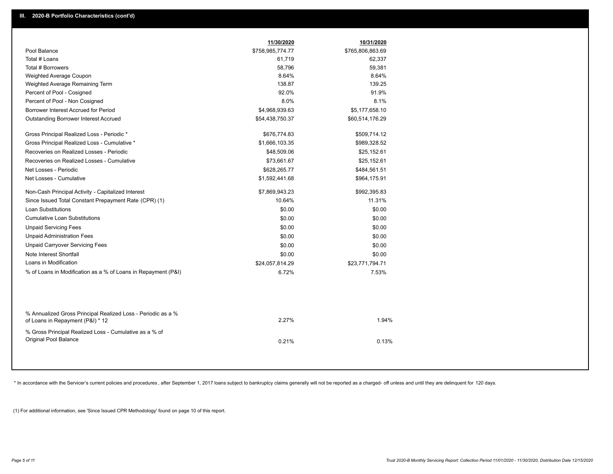|                                                                                                  | 11/30/2020       | 10/31/2020       |  |
|--------------------------------------------------------------------------------------------------|------------------|------------------|--|
| Pool Balance                                                                                     | \$758,985,774.77 | \$765,806,863.69 |  |
| Total # Loans                                                                                    | 61,719           | 62,337           |  |
| Total # Borrowers                                                                                | 58,796           | 59,381           |  |
| Weighted Average Coupon                                                                          | 8.64%            | 8.64%            |  |
| Weighted Average Remaining Term                                                                  | 138.87           | 139.25           |  |
| Percent of Pool - Cosigned                                                                       | 92.0%            | 91.9%            |  |
| Percent of Pool - Non Cosigned                                                                   | 8.0%             | 8.1%             |  |
| Borrower Interest Accrued for Period                                                             | \$4,968,939.63   | \$5,177,658.10   |  |
| Outstanding Borrower Interest Accrued                                                            | \$54,438,750.37  | \$60,514,176.29  |  |
| Gross Principal Realized Loss - Periodic *                                                       | \$676,774.83     | \$509,714.12     |  |
| Gross Principal Realized Loss - Cumulative *                                                     | \$1,666,103.35   | \$989,328.52     |  |
| Recoveries on Realized Losses - Periodic                                                         | \$48,509.06      | \$25,152.61      |  |
| Recoveries on Realized Losses - Cumulative                                                       | \$73,661.67      | \$25,152.61      |  |
| Net Losses - Periodic                                                                            | \$628,265.77     | \$484,561.51     |  |
| Net Losses - Cumulative                                                                          | \$1,592,441.68   | \$964,175.91     |  |
| Non-Cash Principal Activity - Capitalized Interest                                               | \$7,869,943.23   | \$992,395.83     |  |
| Since Issued Total Constant Prepayment Rate (CPR) (1)                                            | 10.64%           | 11.31%           |  |
| Loan Substitutions                                                                               | \$0.00           | \$0.00           |  |
| <b>Cumulative Loan Substitutions</b>                                                             | \$0.00           | \$0.00           |  |
| <b>Unpaid Servicing Fees</b>                                                                     | \$0.00           | \$0.00           |  |
| <b>Unpaid Administration Fees</b>                                                                | \$0.00           | \$0.00           |  |
| <b>Unpaid Carryover Servicing Fees</b>                                                           | \$0.00           | \$0.00           |  |
| Note Interest Shortfall                                                                          | \$0.00           | \$0.00           |  |
| Loans in Modification                                                                            | \$24,057,814.29  | \$23,771,794.71  |  |
| % of Loans in Modification as a % of Loans in Repayment (P&I)                                    | 6.72%            | 7.53%            |  |
|                                                                                                  |                  |                  |  |
| % Annualized Gross Principal Realized Loss - Periodic as a %<br>of Loans in Repayment (P&I) * 12 | 2.27%            | 1.94%            |  |
| % Gross Principal Realized Loss - Cumulative as a % of<br>Original Pool Balance                  | 0.21%            | 0.13%            |  |
|                                                                                                  |                  |                  |  |

\* In accordance with the Servicer's current policies and procedures, after September 1, 2017 loans subject to bankruptcy claims generally will not be reported as a charged- off unless and until they are delinquent for 120

(1) For additional information, see 'Since Issued CPR Methodology' found on page 10 of this report.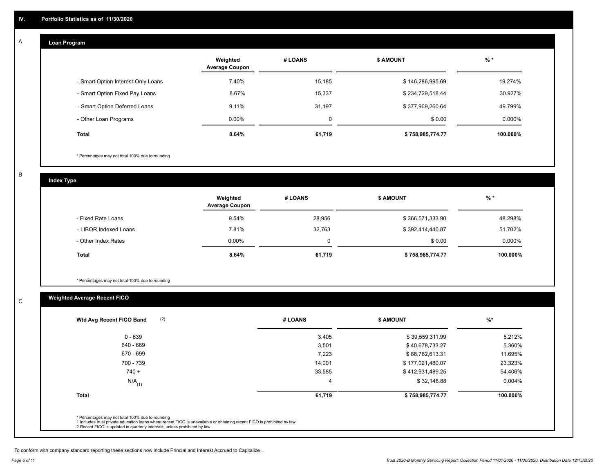#### **Loan Program**  A

|                                    | Weighted<br><b>Average Coupon</b> | # LOANS | <b>\$ AMOUNT</b> | $%$ *    |
|------------------------------------|-----------------------------------|---------|------------------|----------|
| - Smart Option Interest-Only Loans | 7.40%                             | 15,185  | \$146,286,995.69 | 19.274%  |
| - Smart Option Fixed Pay Loans     | 8.67%                             | 15,337  | \$234,729,518.44 | 30.927%  |
| - Smart Option Deferred Loans      | 9.11%                             | 31,197  | \$377,969,260.64 | 49.799%  |
| - Other Loan Programs              | $0.00\%$                          | 0       | \$0.00           | 0.000%   |
| <b>Total</b>                       | 8.64%                             | 61,719  | \$758,985,774.77 | 100.000% |

\* Percentages may not total 100% due to rounding

B

C

**Index Type**

|                       | Weighted<br><b>Average Coupon</b> | # LOANS | <b>\$ AMOUNT</b> | $%$ *    |
|-----------------------|-----------------------------------|---------|------------------|----------|
| - Fixed Rate Loans    | 9.54%                             | 28,956  | \$366,571,333.90 | 48.298%  |
| - LIBOR Indexed Loans | 7.81%                             | 32,763  | \$392,414,440.87 | 51.702%  |
| - Other Index Rates   | $0.00\%$                          |         | \$0.00           | 0.000%   |
| <b>Total</b>          | 8.64%                             | 61,719  | \$758,985,774.77 | 100.000% |

\* Percentages may not total 100% due to rounding

# **Weighted Average Recent FICO**

| $0 - 639$            | 3,405          | \$39,559,311.99  | 5.212%   |
|----------------------|----------------|------------------|----------|
| 640 - 669            | 3,501          | \$40,678,733.27  | 5.360%   |
| 670 - 699            | 7,223          | \$88,762,613.31  | 11.695%  |
| 700 - 739            | 14,001         | \$177,021,480.07 | 23.323%  |
| $740 +$              | 33,585         | \$412,931,489.25 | 54.406%  |
| $N/A$ <sub>(1)</sub> | $\overline{4}$ | \$32,146.88      | 0.004%   |
| <b>Total</b>         | 61,719         | \$758,985,774.77 | 100.000% |

To conform with company standard reporting these sections now include Princial and Interest Accrued to Capitalize .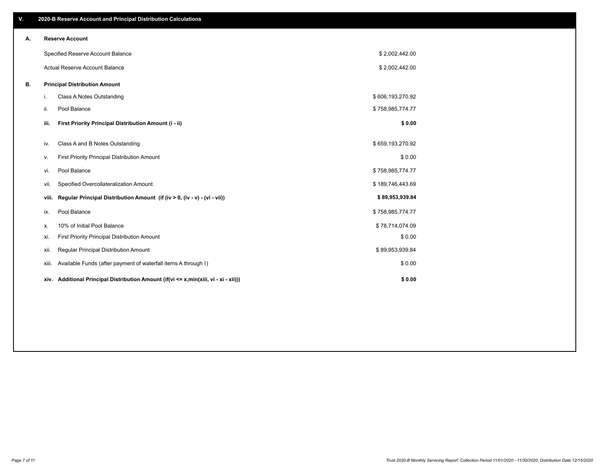| V. |       | 2020-B Reserve Account and Principal Distribution Calculations                       |                  |  |
|----|-------|--------------------------------------------------------------------------------------|------------------|--|
| Α. |       | <b>Reserve Account</b>                                                               |                  |  |
|    |       | Specified Reserve Account Balance                                                    | \$2,002,442.00   |  |
|    |       | Actual Reserve Account Balance                                                       | \$2,002,442.00   |  |
| В. |       | <b>Principal Distribution Amount</b>                                                 |                  |  |
|    | j.    | Class A Notes Outstanding                                                            | \$606,193,270.92 |  |
|    | ii.   | Pool Balance                                                                         | \$758,985,774.77 |  |
|    | iii.  | First Priority Principal Distribution Amount (i - ii)                                | \$0.00           |  |
|    | iv.   | Class A and B Notes Outstanding                                                      | \$659,193,270.92 |  |
|    |       |                                                                                      |                  |  |
|    | v.    | First Priority Principal Distribution Amount                                         | \$0.00           |  |
|    | vi.   | Pool Balance                                                                         | \$758,985,774.77 |  |
|    | vii.  | Specified Overcollateralization Amount                                               | \$189,746,443.69 |  |
|    | viii. | Regular Principal Distribution Amount (if (iv > 0, (iv - v) - (vi - vii))            | \$89,953,939.84  |  |
|    | ix.   | Pool Balance                                                                         | \$758,985,774.77 |  |
|    | Х.    | 10% of Initial Pool Balance                                                          | \$78,714,074.09  |  |
|    | xi.   | First Priority Principal Distribution Amount                                         | \$0.00           |  |
|    | xii.  | Regular Principal Distribution Amount                                                | \$89,953,939.84  |  |
|    | xiii. | Available Funds (after payment of waterfall items A through I)                       | \$0.00           |  |
|    |       | xiv. Additional Principal Distribution Amount (if(vi <= x,min(xiii, vi - xi - xii))) | \$0.00           |  |
|    |       |                                                                                      |                  |  |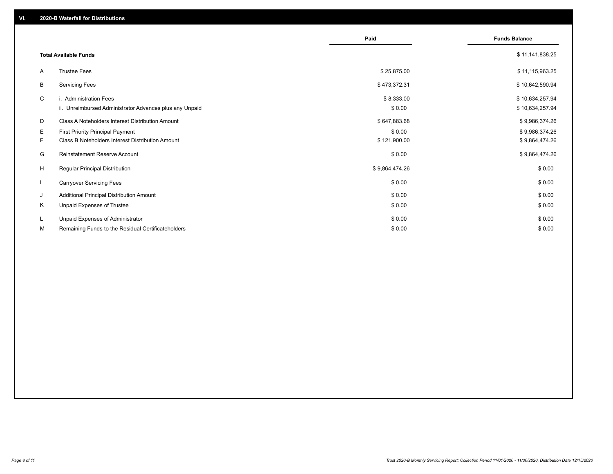|                          |                                                         | Paid           | <b>Funds Balance</b> |
|--------------------------|---------------------------------------------------------|----------------|----------------------|
|                          | <b>Total Available Funds</b>                            |                | \$11,141,838.25      |
|                          |                                                         |                |                      |
| A                        | <b>Trustee Fees</b>                                     | \$25,875.00    | \$11,115,963.25      |
| В                        | <b>Servicing Fees</b>                                   | \$473,372.31   | \$10,642,590.94      |
| C                        | i. Administration Fees                                  | \$8,333.00     | \$10,634,257.94      |
|                          | ii. Unreimbursed Administrator Advances plus any Unpaid | \$0.00         | \$10,634,257.94      |
| D                        | Class A Noteholders Interest Distribution Amount        | \$647,883.68   | \$9,986,374.26       |
| E.                       | <b>First Priority Principal Payment</b>                 | \$0.00         | \$9,986,374.26       |
| F.                       | Class B Noteholders Interest Distribution Amount        | \$121,900.00   | \$9,864,474.26       |
| G                        | <b>Reinstatement Reserve Account</b>                    | \$0.00         | \$9,864,474.26       |
| H                        | <b>Regular Principal Distribution</b>                   | \$9,864,474.26 | \$0.00               |
| $\overline{\phantom{a}}$ | <b>Carryover Servicing Fees</b>                         | \$0.00         | \$0.00               |
| J                        | Additional Principal Distribution Amount                | \$0.00         | \$0.00               |
| Κ                        | Unpaid Expenses of Trustee                              | \$0.00         | \$0.00               |
| L                        | Unpaid Expenses of Administrator                        | \$0.00         | \$0.00               |
| м                        | Remaining Funds to the Residual Certificateholders      | \$0.00         | \$0.00               |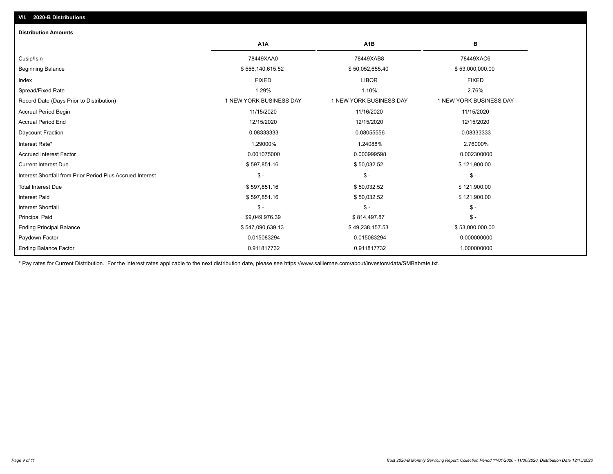| A <sub>1</sub> A        | A <sub>1</sub> B        | В                       |
|-------------------------|-------------------------|-------------------------|
| 78449XAA0               | 78449XAB8               | 78449XAC6               |
| \$556,140,615.52        | \$50,052,655.40         | \$53,000,000.00         |
| <b>FIXED</b>            | <b>LIBOR</b>            | <b>FIXED</b>            |
| 1.29%                   | 1.10%                   | 2.76%                   |
| 1 NEW YORK BUSINESS DAY | 1 NEW YORK BUSINESS DAY | 1 NEW YORK BUSINESS DAY |
| 11/15/2020              | 11/16/2020              | 11/15/2020              |
| 12/15/2020              | 12/15/2020              | 12/15/2020              |
| 0.08333333              | 0.08055556              | 0.08333333              |
| 1.29000%                | 1.24088%                | 2.76000%                |
| 0.001075000             | 0.000999598             | 0.002300000             |
| \$597,851.16            | \$50,032.52             | \$121,900.00            |
| $\frac{1}{2}$           | $\mathsf{\$}$ -         | $\mathsf{\$}$ -         |
| \$597,851.16            | \$50,032.52             | \$121,900.00            |
| \$597,851.16            | \$50,032.52             | \$121,900.00            |
| $$ -$                   | \$-                     | $\mathcal{S}$ -         |
| \$9,049,976.39          | \$814,497.87            | $\mathcal{S}$ -         |
| \$547,090,639.13        | \$49,238,157.53         | \$53,000,000.00         |
| 0.015083294             | 0.015083294             | 0.000000000             |
| 0.911817732             | 0.911817732             | 1.000000000             |
|                         |                         |                         |

\* Pay rates for Current Distribution. For the interest rates applicable to the next distribution date, please see https://www.salliemae.com/about/investors/data/SMBabrate.txt.

**VII. 2020-B Distributions**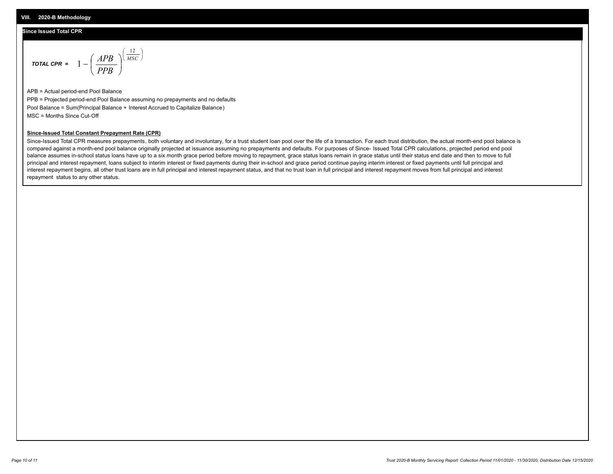## **Since Issued Total CPR**

$$
\text{total CPR} = 1 - \left(\frac{APB}{PPB}\right)^{\left(\frac{12}{MSC}\right)}
$$

APB = Actual period-end Pool Balance PPB = Projected period-end Pool Balance assuming no prepayments and no defaults Pool Balance = Sum(Principal Balance + Interest Accrued to Capitalize Balance) MSC = Months Since Cut-Off

### **Since-Issued Total Constant Prepayment Rate (CPR)**

Since-Issued Total CPR measures prepayments, both voluntary and involuntary, for a trust student loan pool over the life of a transaction. For each trust distribution, the actual month-end pool balance is compared against a month-end pool balance originally projected at issuance assuming no prepayments and defaults. For purposes of Since- Issued Total CPR calculations, projected period end pool balance assumes in-school status loans have up to a six month grace period before moving to repayment, grace status loans remain in grace status until their status end date and then to move to full principal and interest repayment, loans subject to interim interest or fixed payments during their in-school and grace period continue paying interim interest or fixed payments until full principal and interest repayment begins, all other trust loans are in full principal and interest repayment status, and that no trust loan in full principal and interest repayment moves from full principal and interest repayment status to any other status.